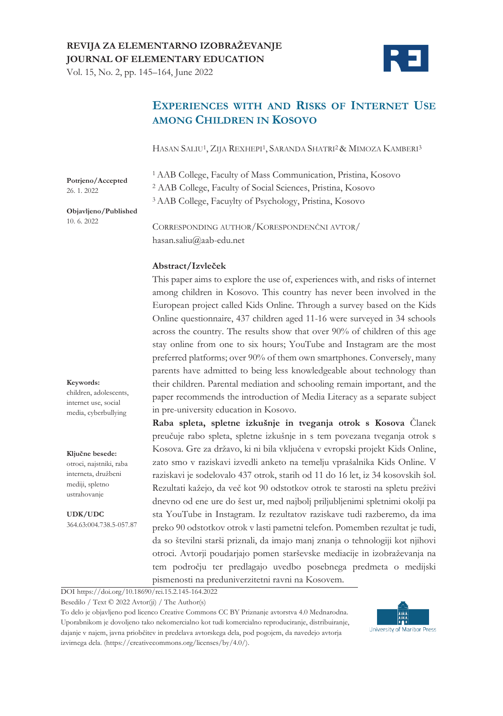Vol. 15, No. 2, pp. 145–164, June 2022



# **EXPERIENCES WITH AND RISKS OF INTERNET USE AMONG CHILDREN IN KOSOVO**

HASAN SALIU1, ZIJA REXHEPI1, SARANDA SHATRI2& MIMOZA KAMBERI3

**Potrjeno/Accepted**  26. 1. 2022

<sup>1</sup>AAB College, Faculty of Mass Communication, Pristina, Kosovo <sup>2</sup> AAB College, Faculty of Social Sciences, Pristina, Kosovo 3 AAB College, Facuylty of Psychology, Pristina, Kosovo

**Objavljeno/Published** 10. 6. 2022

CORRESPONDING AUTHOR/KORESPONDENČNI AVTOR/ hasan.saliu@aab-edu.net

### **Abstract/Izvleček**

This paper aims to explore the use of, experiences with, and risks of internet among children in Kosovo. This country has never been involved in the European project called Kids Online. Through a survey based on the Kids Online questionnaire, 437 children aged 11-16 were surveyed in 34 schools across the country. The results show that over 90% of children of this age stay online from one to six hours; YouTube and Instagram are the most preferred platforms; over 90% of them own smartphones. Conversely, many parents have admitted to being less knowledgeable about technology than their children. Parental mediation and schooling remain important, and the paper recommends the introduction of Media Literacy as a separate subject in pre-university education in Kosovo.

**Raba spleta, spletne izkušnje in tveganja otrok s Kosova** Članek preučuje rabo spleta, spletne izkušnje in s tem povezana tveganja otrok s Kosova. Gre za državo, ki ni bila vključena v evropski projekt Kids Online, zato smo v raziskavi izvedli anketo na temelju vprašalnika Kids Online. V raziskavi je sodelovalo 437 otrok, starih od 11 do 16 let, iz 34 kosovskih šol. Rezultati kažejo, da več kot 90 odstotkov otrok te starosti na spletu preživi dnevno od ene ure do šest ur, med najbolj priljubljenimi spletnimi okolji pa sta YouTube in Instagram. Iz rezultatov raziskave tudi razberemo, da ima preko 90 odstotkov otrok v lasti pametni telefon. Pomemben rezultat je tudi, da so številni starši priznali, da imajo manj znanja o tehnologiji kot njihovi otroci. Avtorji poudarjajo pomen starševske mediacije in izobraževanja na tem področju ter predlagajo uvedbo posebnega predmeta o medijski pismenosti na preduniverzitetni ravni na Kosovem.

DOI https://doi.org/10.18690/rei.15.2.145-164.2022

Besedilo / Text © 2022 Avtor(ji) / The Author(s)

To delo je objavljeno pod licenco Creative Commons CC BY Priznanje avtorstva 4.0 Mednarodna. Uporabnikom je dovoljeno tako nekomercialno kot tudi komercialno reproduciranje, distribuiranje, dajanje v najem, javna priobčitev in predelava avtorskega dela, pod pogojem, da navedejo avtorja izvirnega dela. (https://creativecommons.org/licenses/by/4.0/).



#### **Keywords:**

children, adolescents, internet use, social media, cyberbullying

#### **Ključne besede:**

otroci, najstniki, raba interneta, družbeni mediji, spletno ustrahovanje

**UDK/UDC** 364.63:004.738.5-057.87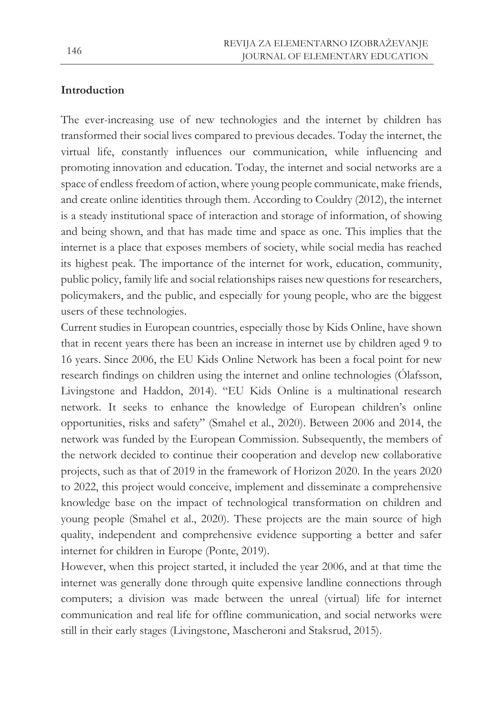## **Introduction**

The ever-increasing use of new technologies and the internet by children has transformed their social lives compared to previous decades. Today the internet, the virtual life, constantly influences our communication, while influencing and promoting innovation and education. Today, the internet and social networks are a space of endless freedom of action, where young people communicate, make friends, and create online identities through them. According to Couldry (2012), the internet is a steady institutional space of interaction and storage of information, of showing and being shown, and that has made time and space as one. This implies that the internet is a place that exposes members of society, while social media has reached its highest peak. The importance of the internet for work, education, community, public policy, family life and social relationships raises new questions for researchers, policymakers, and the public, and especially for young people, who are the biggest users of these technologies.

Current studies in European countries, especially those by Kids Online, have shown that in recent years there has been an increase in internet use by children aged 9 to 16 years. Since 2006, the EU Kids Online Network has been a focal point for new research findings on children using the internet and online technologies (Ólafsson, Livingstone and Haddon, 2014). "EU Kids Online is a multinational research network. It seeks to enhance the knowledge of European children's online opportunities, risks and safety" (Smahel et al., 2020). Between 2006 and 2014, the network was funded by the European Commission. Subsequently, the members of the network decided to continue their cooperation and develop new collaborative projects, such as that of 2019 in the framework of Horizon 2020. In the years 2020 to 2022, this project would conceive, implement and disseminate a comprehensive knowledge base on the impact of technological transformation on children and young people (Smahel et al., 2020). These projects are the main source of high quality, independent and comprehensive evidence supporting a better and safer internet for children in Europe (Ponte, 2019).

However, when this project started, it included the year 2006, and at that time the internet was generally done through quite expensive landline connections through computers; a division was made between the unreal (virtual) life for internet communication and real life for offline communication, and social networks were still in their early stages (Livingstone, Mascheroni and Staksrud, 2015).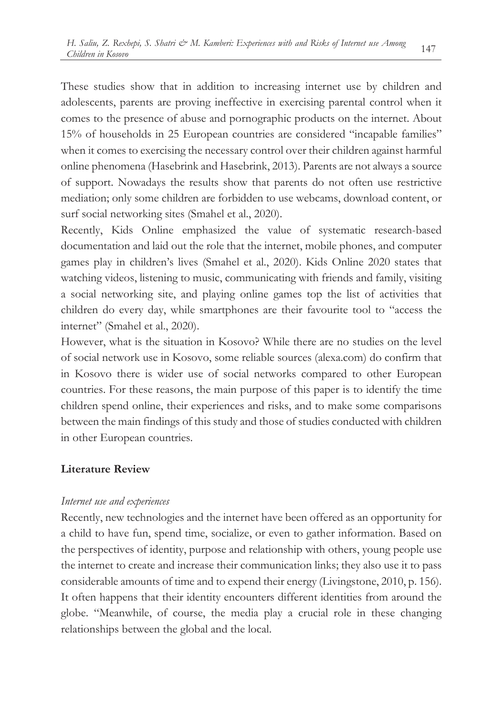These studies show that in addition to increasing internet use by children and adolescents, parents are proving ineffective in exercising parental control when it comes to the presence of abuse and pornographic products on the internet. About 15% of households in 25 European countries are considered "incapable families" when it comes to exercising the necessary control over their children against harmful online phenomena (Hasebrink and Hasebrink, 2013). Parents are not always a source of support. Nowadays the results show that parents do not often use restrictive mediation; only some children are forbidden to use webcams, download content, or surf social networking sites (Smahel et al., 2020).

Recently, Kids Online emphasized the value of systematic research-based documentation and laid out the role that the internet, mobile phones, and computer games play in children's lives (Smahel et al., 2020). Kids Online 2020 states that watching videos, listening to music, communicating with friends and family, visiting a social networking site, and playing online games top the list of activities that children do every day, while smartphones are their favourite tool to "access the internet" (Smahel et al., 2020).

However, what is the situation in Kosovo? While there are no studies on the level of social network use in Kosovo, some reliable sources (alexa.com) do confirm that in Kosovo there is wider use of social networks compared to other European countries. For these reasons, the main purpose of this paper is to identify the time children spend online, their experiences and risks, and to make some comparisons between the main findings of this study and those of studies conducted with children in other European countries.

## **Literature Review**

### *Internet use and experiences*

Recently, new technologies and the internet have been offered as an opportunity for a child to have fun, spend time, socialize, or even to gather information. Based on the perspectives of identity, purpose and relationship with others, young people use the internet to create and increase their communication links; they also use it to pass considerable amounts of time and to expend their energy (Livingstone, 2010, p. 156). It often happens that their identity encounters different identities from around the globe. "Meanwhile, of course, the media play a crucial role in these changing relationships between the global and the local.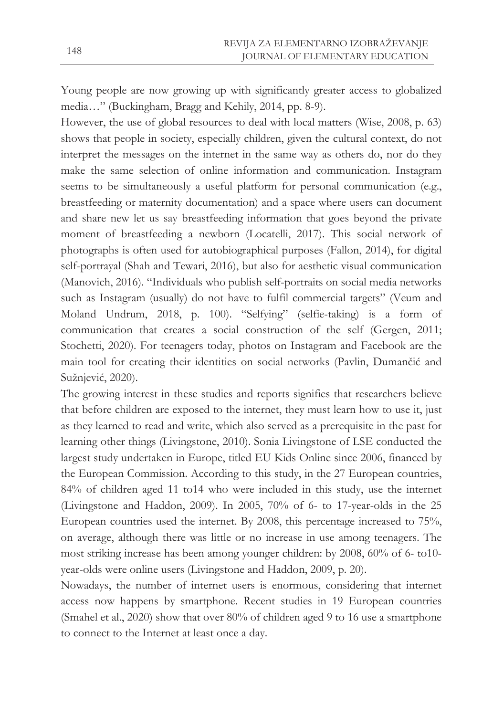Young people are now growing up with significantly greater access to globalized media…" (Buckingham, Bragg and Kehily, 2014, pp. 8-9).

However, the use of global resources to deal with local matters (Wise, 2008, p. 63) shows that people in society, especially children, given the cultural context, do not interpret the messages on the internet in the same way as others do, nor do they make the same selection of online information and communication. Instagram seems to be simultaneously a useful platform for personal communication (e.g., breastfeeding or maternity documentation) and a space where users can document and share new let us say breastfeeding information that goes beyond the private moment of breastfeeding a newborn (Locatelli, 2017). This social network of photographs is often used for autobiographical purposes (Fallon, 2014), for digital self-portrayal (Shah and Tewari, 2016), but also for aesthetic visual communication (Manovich, 2016)*.* "Individuals who publish self-portraits on social media networks such as Instagram (usually) do not have to fulfil commercial targets" (Veum and Moland Undrum, 2018, p. 100). "Selfying" (selfie-taking) is a form of communication that creates a social construction of the self (Gergen, 2011; Stochetti, 2020). For teenagers today, photos on Instagram and Facebook are the main tool for creating their identities on social networks (Pavlin, Dumančić and Sužnjević, 2020).

The growing interest in these studies and reports signifies that researchers believe that before children are exposed to the internet, they must learn how to use it, just as they learned to read and write, which also served as a prerequisite in the past for learning other things (Livingstone, 2010). Sonia Livingstone of LSE conducted the largest study undertaken in Europe, titled EU Kids Online since 2006, financed by the European Commission. According to this study, in the 27 European countries, 84% of children aged 11 to14 who were included in this study, use the internet (Livingstone and Haddon, 2009). In 2005, 70% of 6- to 17-year-olds in the 25 European countries used the internet. By 2008, this percentage increased to 75%, on average, although there was little or no increase in use among teenagers. The most striking increase has been among younger children: by 2008, 60% of 6- to10 year-olds were online users (Livingstone and Haddon, 2009, p. 20).

Nowadays, the number of internet users is enormous, considering that internet access now happens by smartphone. Recent studies in 19 European countries (Smahel et al., 2020) show that over 80% of children aged 9 to 16 use a smartphone to connect to the Internet at least once a day.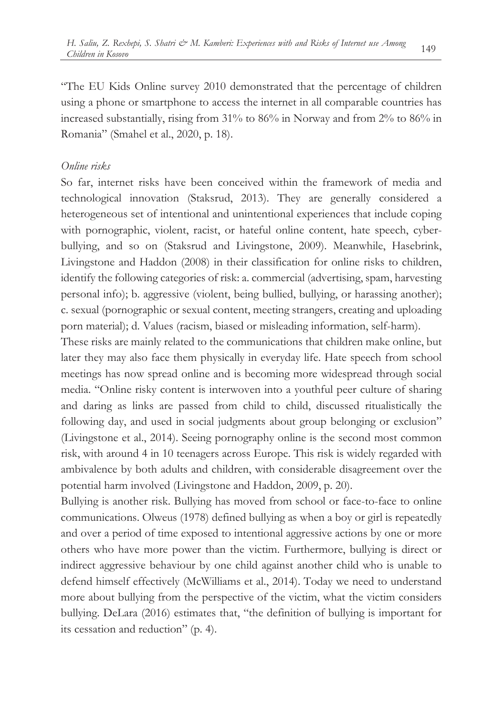"The EU Kids Online survey 2010 demonstrated that the percentage of children using a phone or smartphone to access the internet in all comparable countries has increased substantially, rising from 31% to 86% in Norway and from 2% to 86% in Romania" (Smahel et al., 2020, p. 18).

### *Online risks*

So far, internet risks have been conceived within the framework of media and technological innovation (Staksrud, 2013). They are generally considered a heterogeneous set of intentional and unintentional experiences that include coping with pornographic, violent, racist, or hateful online content, hate speech, cyberbullying, and so on (Staksrud and Livingstone, 2009). Meanwhile, Hasebrink, Livingstone and Haddon (2008) in their classification for online risks to children, identify the following categories of risk: a. commercial (advertising, spam, harvesting personal info); b. aggressive (violent, being bullied, bullying, or harassing another); c. sexual (pornographic or sexual content, meeting strangers, creating and uploading porn material); d. Values (racism, biased or misleading information, self-harm).

These risks are mainly related to the communications that children make online, but later they may also face them physically in everyday life. Hate speech from school meetings has now spread online and is becoming more widespread through social media. "Online risky content is interwoven into a youthful peer culture of sharing and daring as links are passed from child to child, discussed ritualistically the following day, and used in social judgments about group belonging or exclusion" (Livingstone et al., 2014). Seeing pornography online is the second most common risk, with around 4 in 10 teenagers across Europe. This risk is widely regarded with ambivalence by both adults and children, with considerable disagreement over the potential harm involved (Livingstone and Haddon, 2009, p. 20).

Bullying is another risk. Bullying has moved from school or face-to-face to online communications. Olweus (1978) defined bullying as when a boy or girl is repeatedly and over a period of time exposed to intentional aggressive actions by one or more others who have more power than the victim. Furthermore, bullying is direct or indirect aggressive behaviour by one child against another child who is unable to defend himself effectively (McWilliams et al., 2014). Today we need to understand more about bullying from the perspective of the victim, what the victim considers bullying. DeLara (2016) estimates that, "the definition of bullying is important for its cessation and reduction" (p. 4).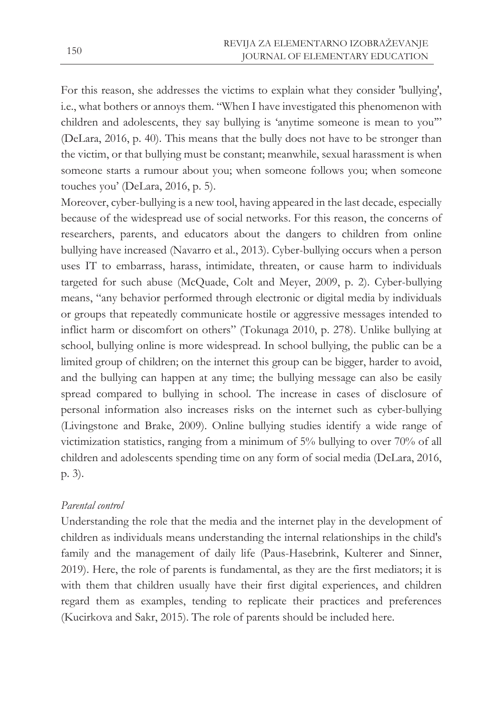For this reason, she addresses the victims to explain what they consider 'bullying', i.e., what bothers or annoys them. "When I have investigated this phenomenon with children and adolescents, they say bullying is 'anytime someone is mean to you'" (DeLara, 2016, p. 40). This means that the bully does not have to be stronger than the victim, or that bullying must be constant; meanwhile, sexual harassment is when someone starts a rumour about you; when someone follows you; when someone touches you' (DeLara, 2016, p. 5).

Moreover, cyber-bullying is a new tool, having appeared in the last decade, especially because of the widespread use of social networks. For this reason, the concerns of researchers, parents, and educators about the dangers to children from online bullying have increased (Navarro et al., 2013). Cyber-bullying occurs when a person uses IT to embarrass, harass, intimidate, threaten, or cause harm to individuals targeted for such abuse (McQuade, Colt and Meyer, 2009, p. 2). Cyber-bullying means, "any behavior performed through electronic or digital media by individuals or groups that repeatedly communicate hostile or aggressive messages intended to inflict harm or discomfort on others" (Tokunaga 2010, p. 278). Unlike bullying at school, bullying online is more widespread. In school bullying, the public can be a limited group of children; on the internet this group can be bigger, harder to avoid, and the bullying can happen at any time; the bullying message can also be easily spread compared to bullying in school. The increase in cases of disclosure of personal information also increases risks on the internet such as cyber-bullying (Livingstone and Brake, 2009). Online bullying studies identify a wide range of victimization statistics, ranging from a minimum of 5% bullying to over 70% of all children and adolescents spending time on any form of social media (DeLara, 2016, p. 3).

## *Parental control*

Understanding the role that the media and the internet play in the development of children as individuals means understanding the internal relationships in the child's family and the management of daily life (Paus-Hasebrink, Kulterer and Sinner, 2019). Here, the role of parents is fundamental, as they are the first mediators; it is with them that children usually have their first digital experiences, and children regard them as examples, tending to replicate their practices and preferences (Kucirkova and Sakr, 2015). The role of parents should be included here.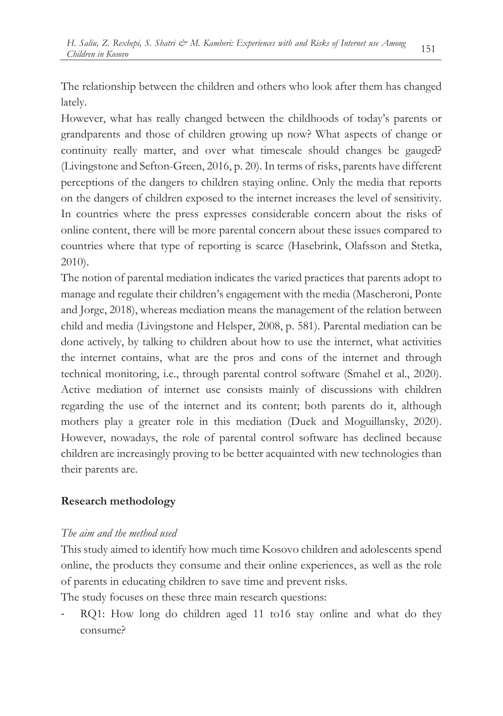The relationship between the children and others who look after them has changed lately.

However, what has really changed between the childhoods of today's parents or grandparents and those of children growing up now? What aspects of change or continuity really matter, and over what timescale should changes be gauged? (Livingstone and Sefton-Green, 2016, p. 20). In terms of risks, parents have different perceptions of the dangers to children staying online. Only the media that reports on the dangers of children exposed to the internet increases the level of sensitivity. In countries where the press expresses considerable concern about the risks of online content, there will be more parental concern about these issues compared to countries where that type of reporting is scarce (Hasebrink, Olafsson and Stetka, 2010).

The notion of parental mediation indicates the varied practices that parents adopt to manage and regulate their children's engagement with the media (Mascheroni, Ponte and Jorge, 2018), whereas mediation means the management of the relation between child and media (Livingstone and Helsper, 2008, p. 581). Parental mediation can be done actively, by talking to children about how to use the internet, what activities the internet contains, what are the pros and cons of the internet and through technical monitoring, i.e., through parental control software (Smahel et al., 2020). Active mediation of internet use consists mainly of discussions with children regarding the use of the internet and its content; both parents do it, although mothers play a greater role in this mediation (Duek and Moguillansky, 2020). However, nowadays, the role of parental control software has declined because children are increasingly proving to be better acquainted with new technologies than their parents are.

# **Research methodology**

## *The aim and the method used*

This study aimed to identify how much time Kosovo children and adolescents spend online, the products they consume and their online experiences, as well as the role of parents in educating children to save time and prevent risks.

The study focuses on these three main research questions:

RQ1: How long do children aged 11 to16 stay online and what do they consume?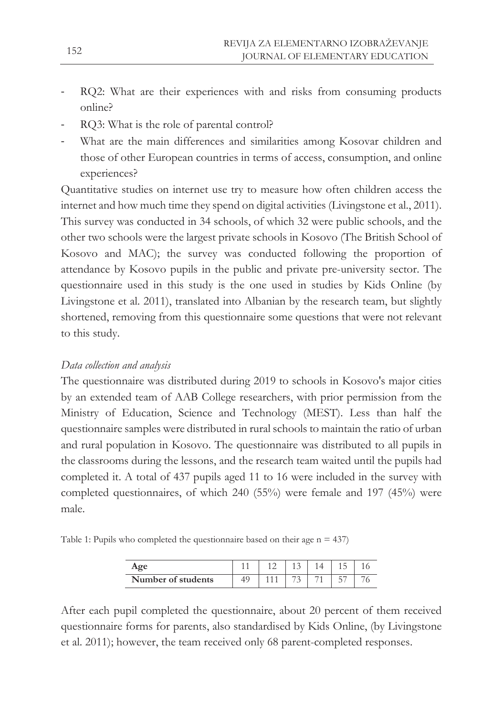- RQ2: What are their experiences with and risks from consuming products online?
- RQ3: What is the role of parental control?
- What are the main differences and similarities among Kosovar children and those of other European countries in terms of access, consumption, and online experiences?

Quantitative studies on internet use try to measure how often children access the internet and how much time they spend on digital activities (Livingstone et al., 2011). This survey was conducted in 34 schools, of which 32 were public schools, and the other two schools were the largest private schools in Kosovo (The British School of Kosovo and MAC); the survey was conducted following the proportion of attendance by Kosovo pupils in the public and private pre-university sector. The questionnaire used in this study is the one used in studies by Kids Online (by Livingstone et al. 2011), translated into Albanian by the research team, but slightly shortened, removing from this questionnaire some questions that were not relevant to this study.

## *Data collection and analysis*

The questionnaire was distributed during 2019 to schools in Kosovo's major cities by an extended team of AAB College researchers, with prior permission from the Ministry of Education, Science and Technology (MEST). Less than half the questionnaire samples were distributed in rural schools to maintain the ratio of urban and rural population in Kosovo. The questionnaire was distributed to all pupils in the classrooms during the lessons, and the research team waited until the pupils had completed it. A total of 437 pupils aged 11 to 16 were included in the survey with completed questionnaires, of which 240 (55%) were female and 197 (45%) were male.

Table 1: Pupils who completed the questionnaire based on their age  $n = 437$ )

| Aoe                |  |   |  |  |
|--------------------|--|---|--|--|
| Number of students |  | - |  |  |

After each pupil completed the questionnaire, about 20 percent of them received questionnaire forms for parents, also standardised by Kids Online, (by Livingstone et al. 2011); however, the team received only 68 parent-completed responses.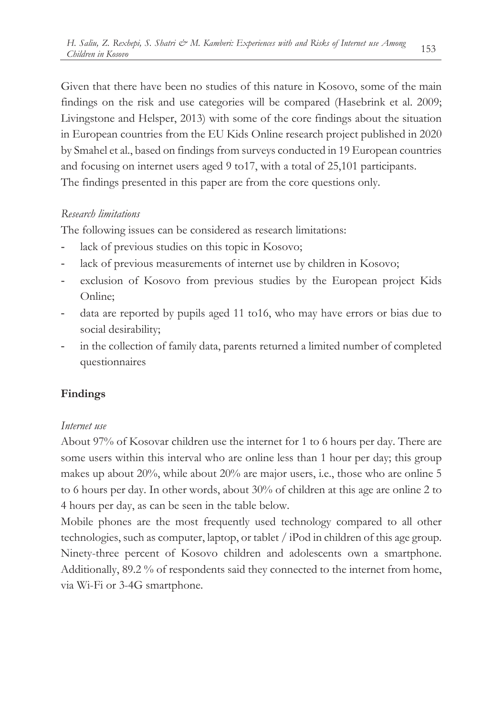Given that there have been no studies of this nature in Kosovo, some of the main findings on the risk and use categories will be compared (Hasebrink et al. 2009; Livingstone and Helsper, 2013) with some of the core findings about the situation in European countries from the EU Kids Online research project published in 2020 by Smahel et al., based on findings from surveys conducted in 19 European countries and focusing on internet users aged 9 to17, with a total of 25,101 participants. The findings presented in this paper are from the core questions only.

# *Research limitations*

The following issues can be considered as research limitations:

- lack of previous studies on this topic in Kosovo;
- lack of previous measurements of internet use by children in Kosovo;
- exclusion of Kosovo from previous studies by the European project Kids Online;
- data are reported by pupils aged 11 to16, who may have errors or bias due to social desirability;
- in the collection of family data, parents returned a limited number of completed questionnaires

# **Findings**

# *Internet use*

About 97% of Kosovar children use the internet for 1 to 6 hours per day. There are some users within this interval who are online less than 1 hour per day; this group makes up about 20%, while about 20% are major users, i.e., those who are online 5 to 6 hours per day. In other words, about 30% of children at this age are online 2 to 4 hours per day, as can be seen in the table below.

Mobile phones are the most frequently used technology compared to all other technologies, such as computer, laptop, or tablet / iPod in children of this age group. Ninety-three percent of Kosovo children and adolescents own a smartphone. Additionally, 89.2 % of respondents said they connected to the internet from home, via Wi-Fi or 3-4G smartphone.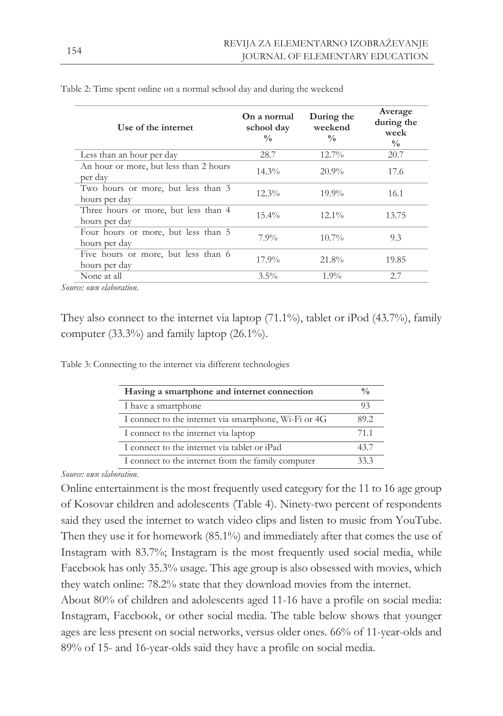| $12.7\%$<br>Less than an hour per day<br>28.7<br>20.7<br>An hour or more, but less than 2 hours | On a normal<br>Use of the internet<br>school day<br>$\frac{0}{0}$ | Average<br>During the<br>during the<br>weekend<br>week<br>$\frac{0}{0}$<br>$\frac{0}{0}$ |
|-------------------------------------------------------------------------------------------------|-------------------------------------------------------------------|------------------------------------------------------------------------------------------|
|                                                                                                 |                                                                   |                                                                                          |
| per day                                                                                         | $14.3\%$                                                          | $20.9\%$<br>17.6                                                                         |
| Two hours or more, but less than 3<br>$12.3\%$<br>$19.9\%$<br>16.1<br>hours per day             |                                                                   |                                                                                          |
| Three hours or more, but less than 4<br>$12.1\%$<br>$15.4\%$<br>13.75<br>hours per day          |                                                                   |                                                                                          |
| Four hours or more, but less than 5<br>$7.9\%$<br>$10.7\%$<br>9.3<br>hours per day              |                                                                   |                                                                                          |
| Five hours or more, but less than 6<br>21.8%<br>$17.9\%$<br>19.85<br>hours per day              |                                                                   |                                                                                          |
| None at all<br>$3.5\%$<br>2.7<br>$1.9\%$                                                        |                                                                   |                                                                                          |

Table 2: Time spent online on a normal school day and during the weekend

*Source: own elaboration.*

They also connect to the internet via laptop (71.1%), tablet or iPod (43.7%), family computer (33.3%) and family laptop (26.1%).

Table 3: Connecting to the internet via different technologies

| Having a smartphone and internet connection           | $\frac{v}{0}$ |
|-------------------------------------------------------|---------------|
| I have a smartphone                                   | 93            |
| I connect to the internet via smartphone, Wi-Fi or 4G | 89.2          |
| I connect to the internet via laptop                  | 71.1          |
| I connect to the internet via tablet or iPad          | 43.7          |
| I connect to the internet from the family computer    | 33.3          |
|                                                       |               |

*Source: own elaboration.*

Online entertainment is the most frequently used category for the 11 to 16 age group of Kosovar children and adolescents (Table 4). Ninety-two percent of respondents said they used the internet to watch video clips and listen to music from YouTube. Then they use it for homework (85.1%) and immediately after that comes the use of Instagram with 83.7%; Instagram is the most frequently used social media, while Facebook has only 35.3% usage. This age group is also obsessed with movies, which they watch online: 78.2% state that they download movies from the internet.

About 80% of children and adolescents aged 11-16 have a profile on social media: Instagram, Facebook, or other social media. The table below shows that younger ages are less present on social networks, versus older ones. 66% of 11-year-olds and 89% of 15- and 16-year-olds said they have a profile on social media.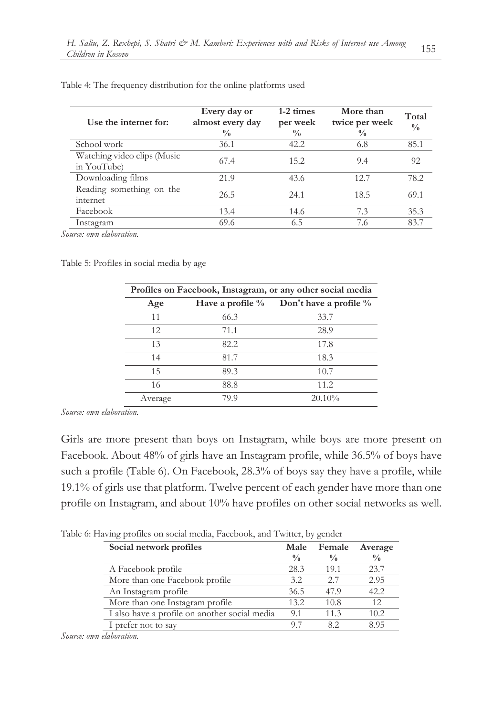| Use the internet for:                      | Every day or<br>almost every day<br>$\frac{0}{0}$ | 1-2 times<br>per week<br>$\frac{0}{0}$ | More than<br>twice per week<br>$\frac{0}{0}$ | Total<br>$\frac{0}{0}$ |
|--------------------------------------------|---------------------------------------------------|----------------------------------------|----------------------------------------------|------------------------|
| School work                                | 36.1                                              | 42.2                                   | 6.8                                          | 85.1                   |
| Watching video clips (Music<br>in YouTube) | 67.4                                              | 15.2                                   | 9.4                                          | 92                     |
| Downloading films                          | 21.9                                              | 43.6                                   | 12.7                                         | 78.2                   |
| Reading something on the<br>internet       | 26.5                                              | 24.1                                   | 18.5                                         | 69.1                   |
| Facebook                                   | 13.4                                              | 14.6                                   | 7.3                                          | 35.3                   |
| Instagram                                  | 69.6                                              | 6.5                                    | 7.6                                          | 83.7                   |

Table 4: The frequency distribution for the online platforms used

*Source: own elaboration.*

Table 5: Profiles in social media by age

| Profiles on Facebook, Instagram, or any other social media |                     |                        |  |
|------------------------------------------------------------|---------------------|------------------------|--|
| Age                                                        | Have a profile $\%$ | Don't have a profile % |  |
| 11                                                         | 66.3                | 33.7                   |  |
| 12.                                                        | 71.1                | 28.9                   |  |
| 13                                                         | 82.2                | 17.8                   |  |
| 14                                                         | 81.7                | 18.3                   |  |
| 15                                                         | 89.3                | 10.7                   |  |
| 16                                                         | 88.8                | 11.2                   |  |
| Average                                                    | 79.9                | 20.10%                 |  |

*Source: own elaboration.*

Girls are more present than boys on Instagram, while boys are more present on Facebook. About 48% of girls have an Instagram profile, while 36.5% of boys have such a profile (Table 6). On Facebook, 28.3% of boys say they have a profile, while 19.1% of girls use that platform. Twelve percent of each gender have more than one profile on Instagram, and about 10% have profiles on other social networks as well.

Table 6: Having profiles on social media, Facebook, and Twitter, by gender

| Social network profiles                       | Male          | Female        | Average       |
|-----------------------------------------------|---------------|---------------|---------------|
|                                               | $\frac{0}{0}$ | $\frac{0}{0}$ | $\frac{0}{0}$ |
| A Facebook profile                            | 28.3          | 19.1          | 23.7          |
| More than one Facebook profile                | 3.2           | 2.7           | 2.95          |
| An Instagram profile                          | 36.5          | 47.9          | 42.2          |
| More than one Instagram profile               | 13.2          | 10.8          | 12.           |
| I also have a profile on another social media | 9.1           | 11.3          | 10.2          |
| I prefer not to say                           | 97            | 82            | 8.95          |
|                                               |               |               |               |

*Source: own elaboration.*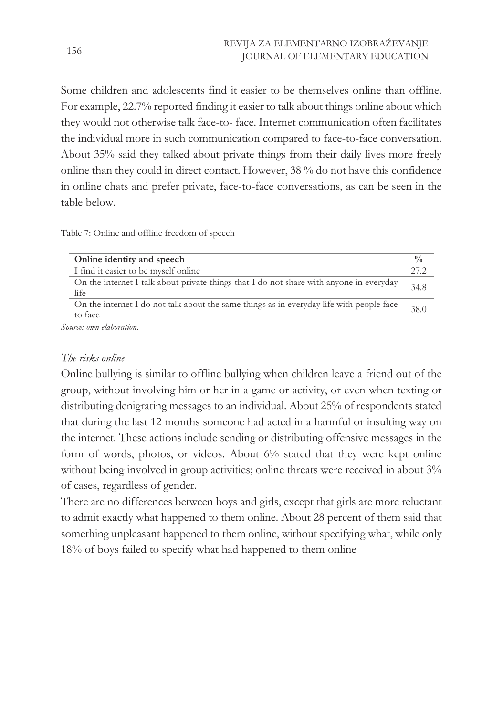Some children and adolescents find it easier to be themselves online than offline. For example, 22.7% reported finding it easier to talk about things online about which they would not otherwise talk face-to- face. Internet communication often facilitates the individual more in such communication compared to face-to-face conversation. About 35% said they talked about private things from their daily lives more freely online than they could in direct contact. However, 38 % do not have this confidence in online chats and prefer private, face-to-face conversations, as can be seen in the table below.

Table 7: Online and offline freedom of speech

| Online identity and speech                                                                          | $\frac{0}{0}$ |
|-----------------------------------------------------------------------------------------------------|---------------|
| I find it easier to be myself online                                                                | 27.2          |
| On the internet I talk about private things that I do not share with anyone in everyday<br>life     | 34.8          |
| On the internet I do not talk about the same things as in everyday life with people face<br>to face | 38.0          |
| Cource ony elaboration                                                                              |               |

*Source: own elaboration.*

### *The risks online*

Online bullying is similar to offline bullying when children leave a friend out of the group, without involving him or her in a game or activity, or even when texting or distributing denigrating messages to an individual. About 25% of respondents stated that during the last 12 months someone had acted in a harmful or insulting way on the internet. These actions include sending or distributing offensive messages in the form of words, photos, or videos. About 6% stated that they were kept online without being involved in group activities; online threats were received in about  $3\%$ of cases, regardless of gender.

There are no differences between boys and girls, except that girls are more reluctant to admit exactly what happened to them online. About 28 percent of them said that something unpleasant happened to them online, without specifying what, while only 18% of boys failed to specify what had happened to them online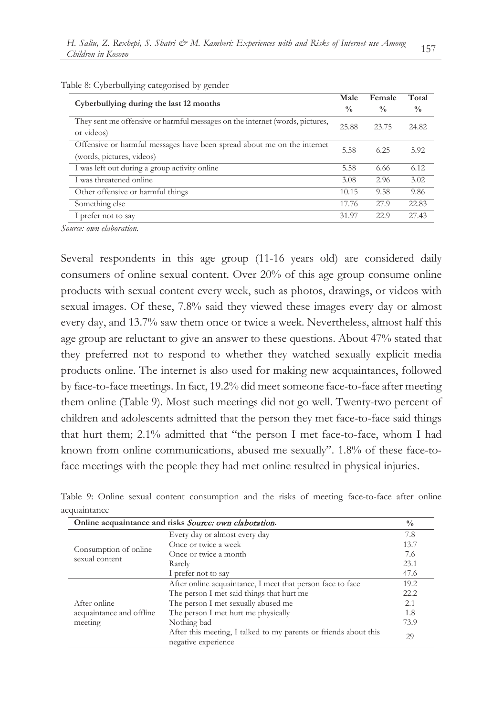| Cyberbullying during the last 12 months<br>They sent me offensive or harmful messages on the internet (words, pictures,<br>or videos)<br>Offensive or harmful messages have been spread about me on the internet<br>(words, pictures, videos)<br>I was left out during a group activity online<br>I was threatened online<br>Other offensive or harmful things<br>Something else<br>I prefer not to say | Male<br>Female                 | Total         |
|---------------------------------------------------------------------------------------------------------------------------------------------------------------------------------------------------------------------------------------------------------------------------------------------------------------------------------------------------------------------------------------------------------|--------------------------------|---------------|
|                                                                                                                                                                                                                                                                                                                                                                                                         | $\frac{0}{0}$<br>$\frac{0}{0}$ | $\frac{0}{0}$ |
|                                                                                                                                                                                                                                                                                                                                                                                                         | 25.88<br>23.75                 | 24.82         |
|                                                                                                                                                                                                                                                                                                                                                                                                         | 5.58<br>6.25                   | 5.92          |
|                                                                                                                                                                                                                                                                                                                                                                                                         | 5.58<br>6.66                   | 6.12          |
|                                                                                                                                                                                                                                                                                                                                                                                                         | 2.96<br>3.08                   | 3.02          |
|                                                                                                                                                                                                                                                                                                                                                                                                         | 9.58<br>10.15                  | 9.86          |
|                                                                                                                                                                                                                                                                                                                                                                                                         | 27.9<br>17.76                  | 22.83         |
|                                                                                                                                                                                                                                                                                                                                                                                                         | 22.9<br>31.97                  | 27.43         |

Table 8: Cyberbullying categorised by gender

*Source: own elaboration.*

Several respondents in this age group (11-16 years old) are considered daily consumers of online sexual content. Over 20% of this age group consume online products with sexual content every week, such as photos, drawings, or videos with sexual images. Of these, 7.8% said they viewed these images every day or almost every day, and 13.7% saw them once or twice a week. Nevertheless, almost half this age group are reluctant to give an answer to these questions. About 47% stated that they preferred not to respond to whether they watched sexually explicit media products online. The internet is also used for making new acquaintances, followed by face-to-face meetings. In fact, 19.2% did meet someone face-to-face after meeting them online (Table 9). Most such meetings did not go well. Twenty-two percent of children and adolescents admitted that the person they met face-to-face said things that hurt them; 2.1% admitted that "the person I met face-to-face, whom I had known from online communications, abused me sexually". 1.8% of these face-toface meetings with the people they had met online resulted in physical injuries.

|                                                     | Online acquaintance and risks <i>Source: own elaboration</i> .                          | $\frac{0}{0}$ |
|-----------------------------------------------------|-----------------------------------------------------------------------------------------|---------------|
|                                                     | Every day or almost every day                                                           | 7.8           |
| Consumption of online<br>sexual content             | Once or twice a week                                                                    | 13.7          |
|                                                     | Once or twice a month                                                                   |               |
|                                                     | Rarely                                                                                  | 23.1          |
|                                                     | I prefer not to say                                                                     | 47.6          |
| After online<br>acquaintance and offline<br>meeting | After online acquaintance, I meet that person face to face                              | 19.2          |
|                                                     | The person I met said things that hurt me                                               | 22.2          |
|                                                     | The person I met sexually abused me                                                     | 2.1           |
|                                                     | The person I met hurt me physically                                                     | 1.8           |
|                                                     | Nothing bad                                                                             | 73.9          |
|                                                     | After this meeting, I talked to my parents or friends about this<br>negative experience | 29            |

Table 9: Online sexual content consumption and the risks of meeting face-to-face after online acquaintance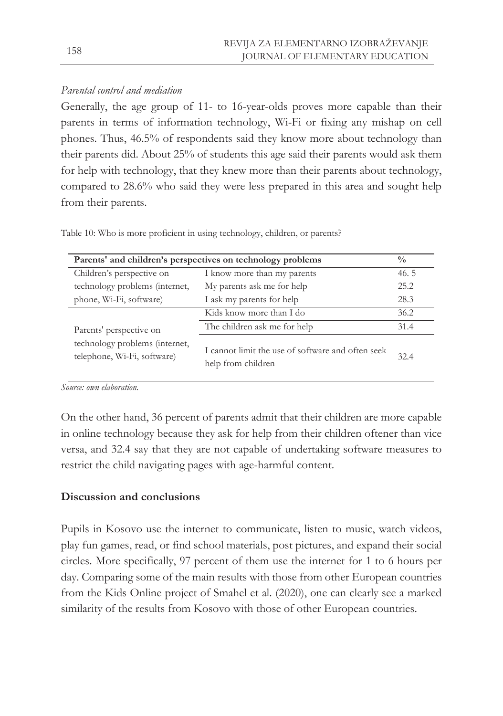# *Parental control and mediation*

Generally, the age group of 11- to 16-year-olds proves more capable than their parents in terms of information technology, Wi-Fi or fixing any mishap on cell phones. Thus, 46.5% of respondents said they know more about technology than their parents did. About 25% of students this age said their parents would ask them for help with technology, that they knew more than their parents about technology, compared to 28.6% who said they were less prepared in this area and sought help from their parents.

Table 10: Who is more proficient in using technology, children, or parents?

| Parents' and children's perspectives on technology problems                              |                                                                         |      |  |  |
|------------------------------------------------------------------------------------------|-------------------------------------------------------------------------|------|--|--|
| Children's perspective on                                                                | I know more than my parents                                             | 46.5 |  |  |
| technology problems (internet,                                                           | My parents ask me for help                                              | 25.2 |  |  |
| phone, Wi-Fi, software)                                                                  | I ask my parents for help                                               | 28.3 |  |  |
| Parents' perspective on<br>technology problems (internet,<br>telephone, Wi-Fi, software) | Kids know more than I do                                                | 36.2 |  |  |
|                                                                                          | The children ask me for help                                            | 31.4 |  |  |
|                                                                                          | I cannot limit the use of software and often seek<br>help from children | 32.4 |  |  |

*Source: own elaboration.*

On the other hand, 36 percent of parents admit that their children are more capable in online technology because they ask for help from their children oftener than vice versa, and 32.4 say that they are not capable of undertaking software measures to restrict the child navigating pages with age-harmful content.

# **Discussion and conclusions**

Pupils in Kosovo use the internet to communicate, listen to music, watch videos, play fun games, read, or find school materials, post pictures, and expand their social circles. More specifically, 97 percent of them use the internet for 1 to 6 hours per day. Comparing some of the main results with those from other European countries from the Kids Online project of Smahel et al. (2020), one can clearly see a marked similarity of the results from Kosovo with those of other European countries.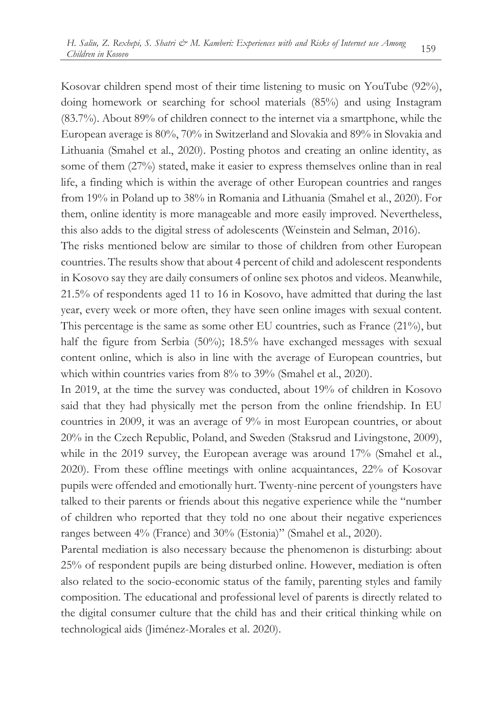Kosovar children spend most of their time listening to music on YouTube (92%), doing homework or searching for school materials (85%) and using Instagram (83.7%). About 89% of children connect to the internet via a smartphone, while the European average is 80%, 70% in Switzerland and Slovakia and 89% in Slovakia and Lithuania (Smahel et al., 2020). Posting photos and creating an online identity, as some of them (27%) stated, make it easier to express themselves online than in real life, a finding which is within the average of other European countries and ranges from 19% in Poland up to 38% in Romania and Lithuania (Smahel et al., 2020). For them, online identity is more manageable and more easily improved. Nevertheless, this also adds to the digital stress of adolescents (Weinstein and Selman, 2016).

The risks mentioned below are similar to those of children from other European countries. The results show that about 4 percent of child and adolescent respondents in Kosovo say they are daily consumers of online sex photos and videos. Meanwhile, 21.5% of respondents aged 11 to 16 in Kosovo, have admitted that during the last year, every week or more often, they have seen online images with sexual content. This percentage is the same as some other EU countries, such as France (21%), but half the figure from Serbia (50%); 18.5% have exchanged messages with sexual content online, which is also in line with the average of European countries, but which within countries varies from 8% to 39% (Smahel et al., 2020).

In 2019, at the time the survey was conducted, about 19% of children in Kosovo said that they had physically met the person from the online friendship. In EU countries in 2009, it was an average of 9% in most European countries, or about 20% in the Czech Republic, Poland, and Sweden (Staksrud and Livingstone, 2009), while in the 2019 survey, the European average was around 17% (Smahel et al., 2020). From these offline meetings with online acquaintances, 22% of Kosovar pupils were offended and emotionally hurt. Twenty-nine percent of youngsters have talked to their parents or friends about this negative experience while the "number of children who reported that they told no one about their negative experiences ranges between 4% (France) and 30% (Estonia)" (Smahel et al., 2020).

Parental mediation is also necessary because the phenomenon is disturbing: about 25% of respondent pupils are being disturbed online. However, mediation is often also related to the socio-economic status of the family, parenting styles and family composition. The educational and professional level of parents is directly related to the digital consumer culture that the child has and their critical thinking while on technological aids (Jiménez-Morales et al. 2020).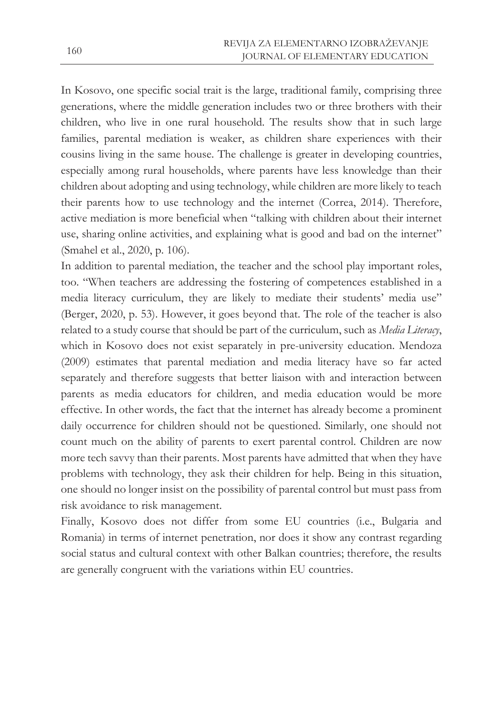In Kosovo, one specific social trait is the large, traditional family, comprising three generations, where the middle generation includes two or three brothers with their children, who live in one rural household. The results show that in such large families, parental mediation is weaker, as children share experiences with their cousins living in the same house. The challenge is greater in developing countries, especially among rural households, where parents have less knowledge than their children about adopting and using technology, while children are more likely to teach their parents how to use technology and the internet (Correa, 2014). Therefore, active mediation is more beneficial when "talking with children about their internet use, sharing online activities, and explaining what is good and bad on the internet" (Smahel et al., 2020, p. 106).

In addition to parental mediation, the teacher and the school play important roles, too. "When teachers are addressing the fostering of competences established in a media literacy curriculum, they are likely to mediate their students' media use" (Berger, 2020, p. 53). However, it goes beyond that. The role of the teacher is also related to a study course that should be part of the curriculum, such as *Media Literacy*, which in Kosovo does not exist separately in pre-university education. Mendoza (2009) estimates that parental mediation and media literacy have so far acted separately and therefore suggests that better liaison with and interaction between parents as media educators for children, and media education would be more effective. In other words, the fact that the internet has already become a prominent daily occurrence for children should not be questioned. Similarly, one should not count much on the ability of parents to exert parental control. Children are now more tech savvy than their parents. Most parents have admitted that when they have problems with technology, they ask their children for help. Being in this situation, one should no longer insist on the possibility of parental control but must pass from risk avoidance to risk management.

Finally, Kosovo does not differ from some EU countries (i.e., Bulgaria and Romania) in terms of internet penetration, nor does it show any contrast regarding social status and cultural context with other Balkan countries; therefore, the results are generally congruent with the variations within EU countries.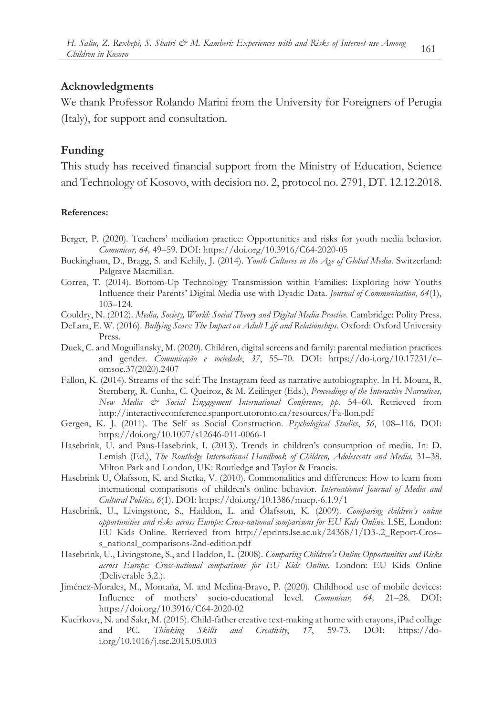### **Acknowledgments**

We thank Professor Rolando Marini from the University for Foreigners of Perugia (Italy), for support and consultation.

### **Funding**

This study has received financial support from the Ministry of Education, Science and Technology of Kosovo, with decision no. 2, protocol no. 2791, DT. 12.12.2018.

#### **References:**

- Berger, P. (2020). Teachers' mediation practice: Opportunities and risks for youth media behavior. *Comunicar, 64,* 49–59. DOI: https://doi.org/10.3916/C64-2020-05
- Buckingham, D., Bragg, S. and Kehily, J. (2014). *Youth Cultures in the Age of Global Media*. Switzerland: Palgrave Macmillan.
- Correa, T. (2014). Bottom-Up Technology Transmission within Families: Exploring how Youths Influence their Parents' Digital Media use with Dyadic Data. *Journal of Communication*, *64*(1), 103–124.
- Couldry, N. (2012). *Media, Society, World: Social Theory and Digital Media Practice*. Cambridge: Polity Press.
- DeLara, E. W. (2016). *Bullying Scars: The Impact on Adult Life and Relationships.* Oxford: Oxford University Press.
- Duek, C. and Moguillansky, M. (2020). Children, digital screens and family: parental mediation practices and gender. *Comunicação e sociedade*, *37*, 55–70. DOI: https://do-i.org/10.17231/c– omsoc.37(2020).2407
- Fallon, K. (2014). Streams of the self: The Instagram feed as narrative autobiography. In H. Moura, R. Sternberg, R. Cunha, C. Queiroz, & M. Zeilinger (Eds.), *Proceedings of the Interactive Narratives, New Media & Social Engagement International Conference, pp.* 54–60. Retrieved from http://interactiveconference.spanport.utoronto.ca/resources/Fa-llon.pdf
- Gergen, K. J. (2011). The Self as Social Construction. *Psychological Studies*, *56*, 108–116. DOI: https://doi.org/10.1007/s12646-011-0066-1
- Hasebrink, U. and Paus-Hasebrink, I. (2013). Trends in children's consumption of media. In: D. Lemish (Ed.), *The Routledge International Handbook of Children, Adolescents and Media,* 31–38. Milton Park and London, UK: Routledge and Taylor & Francis.
- Hasebrink U, Ólafsson, K. and Stetka, V. (2010). Commonalities and differences: How to learn from international comparisons of children's online behavior. *International Journal of Media and Cultural Politics, 6*(1). DOI: https://doi.org/10.1386/macp.-6.1.9/1
- Hasebrink, U., Livingstone, S., Haddon, L. and Ólafsson, K. (2009). *Comparing children's online opportunities and risks across Europe: Cross-national comparisons for EU Kids Online.* LSE, London: EU Kids Online. Retrieved from http://eprints.lse.ac.uk/24368/1/D3-.2\_Report-Cros– s\_national\_comparisons-2nd-edition.pdf
- Hasebrink, U., Livingstone, S., and Haddon, L. (2008). *Comparing Children's Online Opportunities and Risks across Europe: Cross-national comparisons for EU Kids Online*. London: EU Kids Online (Deliverable 3.2.).
- Jiménez-Morales, M., Montaña, M. and Medina-Bravo, P. (2020). Childhood use of mobile devices: Influence of mothers' socio-educational level. *Comunicar, 64,* 21–28. DOI: https://doi.org/10.3916/C64-2020-02
- Kucirkova, N. and Sakr, M. (2015). Child-father creative text-making at home with crayons, iPad collage and PC. *Thinking Skills and Creativity*, *17*, 59-73. DOI: https://doi.org/10.1016/j.tsc.2015.05.003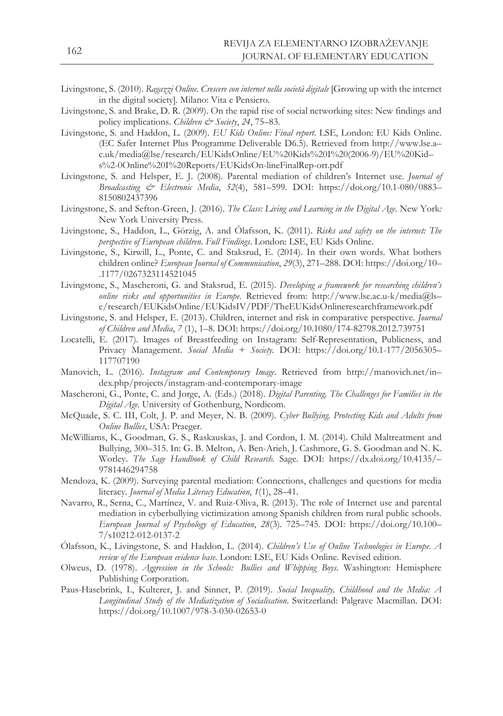- Livingstone, S. (2010). *Ragazzi Online. Crescere con internet nella società digitale* [Growing up with the internet in the digital society]*.* Milano: Vita e Pensiero.
- Livingstone, S. and Brake, D. R. (2009). On the rapid rise of social networking sites: New findings and policy implications. *Children & Society*, *24*, 75–83.
- Livingstone, S. and Haddon, L. (2009). *EU Kids Online: Final report*. LSE, London: EU Kids Online. (EC Safer Internet Plus Programme Deliverable D6.5). Retrieved from http://www.lse.a– c.uk/media@lse/research/EUKidsOnline/EU%20Kids%20I%20(2006-9)/EU%20Kid– s%2-0Online%20I%20Reports/EUKidsOn-lineFinalRep-ort.pdf
- Livingstone, S. and Helsper, E. J. (2008). Parental mediation of children's Internet use. *Journal of Broadcasting & Electronic Media*, *52*(4), 581–599. DOI: https://doi.org/10.1-080/0883– 8150802437396
- Livingstone, S. and Sefton-Green, J. (2016). *The Class: Living and Learning in the Digital Age.* New York*:*  New York University Press.
- Livingstone, S., Haddon, L., Görzig, A. and Ólafsson, K. (2011). *Risks and safety on the internet: The perspective of European children. Full Findings*. London: LSE, EU Kids Online.
- Livingstone, S., Kirwill, L., Ponte, C. and Staksrud, E. (2014). In their own words. What bothers children online? *European Journal of Communication*, *29*(3), 271–288. DOI: https://doi.org/10– .1177/0267323114521045
- Livingstone, S., Mascheroni, G. and Staksrud, E. (2015). *Developing a framework for researching children's online risks and opportunities in Europe.* Retrieved from: http://www.lse.ac.u-k/media@ls– e/research/EUKidsOnline/EUKidsIV/PDF/TheEUKidsOnlineresearchframework.pdf
- Livingstone, S. and Helsper, E. (2013). Children, internet and risk in comparative perspective. *Journal of Children and Media*, *7* (1), 1–8. DOI: https://doi.org/10.1080/174-82798.2012.739751
- Locatelli, E. (2017). Images of Breastfeeding on Instagram: Self-Representation, Publicness, and Privacy Management. *Social Media + Society.* DOI: https://doi.org/10.1-177/2056305– 117707190
- Manovich, L. (2016). *Instagram and Contemporary Image*. Retrieved from http://manovich.net/in– dex.php/projects/instagram-and-contemporary-image
- Mascheroni, G., Ponte, C. and Jorge, A. (Eds.) (2018). *Digital Parenting. The Challenges for Families in the Digital Age.* University of Gothenburg, Nordicom.
- McQuade, S. C. III, Colt, J. P. and Meyer, N. B. (2009). *Cyber Bullying. Protecting Kids and Adults from Online Bullies*, USA: Praeger.
- McWilliams, K., Goodman, G. S., Raskauskas, J. and Cordon, I. M. (2014). Child Maltreatment and Bullying, 300–315. In: G. B. Melton, A. Ben-Arieh, J. Cashmore, G. S. Goodman and N. K. Worley. *The Sage Handbook of Child Research.* Sage*.* DOI: https://dx.doi.org/10.4135/– 9781446294758
- Mendoza, K. (2009). Surveying parental mediation: Connections, challenges and questions for media literacy. *Journal of Media Literacy Education*, *1*(1), 28–41.
- Navarro, R., Serna, C., Martínez, V. and Ruiz-Oliva, R. (2013). The role of Internet use and parental mediation in cyberbullying victimization among Spanish children from rural public schools. *European Journal of Psychology of Education*, *28*(3). 725–745. DOI: https://doi.org/10.100– 7/s10212-012-0137-2
- Ólafsson, K., Livingstone, S. and Haddon, L. (2014). *Children's Use of Online Technologies in Europe. A review of the European evidence base.* London: LSE, EU Kids Online. Revised edition.
- Olweus, D. (1978). *Aggression in the Schools: Bullies and Whipping Boys.* Washington: Hemisphere Publishing Corporation.
- Paus-Hasebrink, I., Kulterer, J. and Sinner, P. (2019). *Social Inequality, Childhood and the Media: A Longitudinal Study of the Mediatization of Socialisation*. Switzerland: Palgrave Macmillan. DOI: https://doi.org/10.1007/978-3-030-02653-0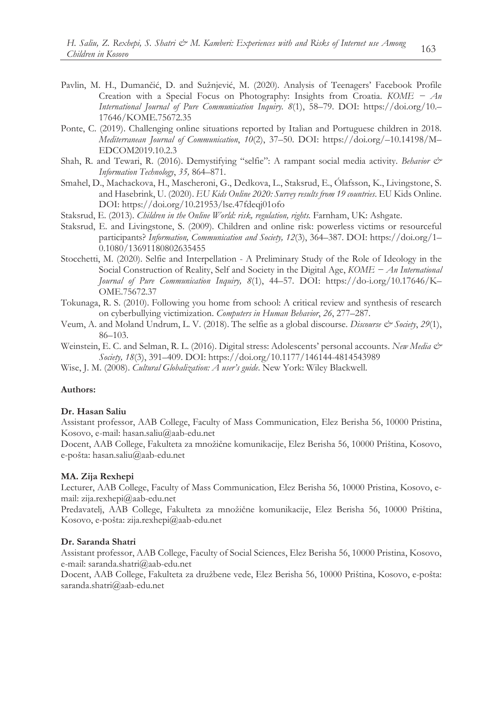- Pavlin, M. H., Dumančić, D. and Sužnjević, M. (2020). Analysis of Teenagers' Facebook Profile Creation with a Special Focus on Photography: Insights from Croatia. *KOME − An International Journal of Pure Communication Inquiry. 8*(1), 58–79. DOI: https://doi.org/10.– 17646/KOME.75672.35
- Ponte, C. (2019). Challenging online situations reported by Italian and Portuguese children in 2018. *Mediterranean Journal of Communication*, *10*(2), 37–50. DOI: https://doi.org/–10.14198/M– EDCOM2019.10.2.3
- Shah, R. and Tewari, R. (2016). Demystifying "selfie": A rampant social media activity. *Behavior & Information Technology*, *35,* 864–871.
- Smahel, D., Machackova, H., Mascheroni, G., Dedkova, L., Staksrud, E., Ólafsson, K., Livingstone, S. and Hasebrink, U. (2020). *EU Kids Online 2020: Survey results from 19 countries*. EU Kids Online. DOI: https://doi.org/10.21953/lse.47fdeqj01ofo
- Staksrud, E. (2013). *Children in the Online World: risk, regulation, rights.* Farnham, UK: Ashgate.
- Staksrud, E. and Livingstone, S. (2009). Children and online risk: powerless victims or resourceful participants? *Information, Communication and Society, 12*(3), 364–387. DOI: https://doi.org/1– 0.1080/13691180802635455
- Stocchetti, M. (2020). Selfie and Interpellation A Preliminary Study of the Role of Ideology in the Social Construction of Reality, Self and Society in the Digital Age, *KOME − An International Journal of Pure Communication Inquiry, 8*(1), 44–57. DOI: https://do-i.org/10.17646/K– OME.75672.37
- Tokunaga, R. S. (2010). Following you home from school: A critical review and synthesis of research on cyberbullying victimization. *Computers in Human Behavior*, *26*, 277–287.
- Veum, A. and Moland Undrum, L. V. (2018). The selfie as a global discourse. *Discourse & Society*, *29*(1), 86–103.
- Weinstein, E. C. and Selman, R. L. (2016). Digital stress: Adolescents' personal accounts. *New Media & Society, 18*(3), 391–409. DOI: https://doi.org/10.1177/146144-4814543989
- Wise, J. M. (2008). *Cultural Globalization: A user's guide*. New York: Wiley Blackwell.

### **Authors:**

#### **Dr. Hasan Saliu**

Assistant professor, AAB College, Faculty of Mass Communication, Elez Berisha 56, 10000 Pristina, Kosovo, e-mail: hasan.saliu@aab-edu.net

Docent, AAB College, Fakulteta za množične komunikacije, Elez Berisha 56, 10000 Priština, Kosovo, e-pošta: hasan.saliu@aab-edu.net

#### **MA. Zija Rexhepi**

Lecturer, AAB College, Faculty of Mass Communication, Elez Berisha 56, 10000 Pristina, Kosovo, email: zija.rexhepi@aab-edu.net

Predavatelj, AAB College, Fakulteta za množične komunikacije, Elez Berisha 56, 10000 Priština, Kosovo, e-pošta: zija.rexhepi@aab-edu.net

#### **Dr. Saranda Shatri**

Assistant professor, AAB College, Faculty of Social Sciences, Elez Berisha 56, 10000 Pristina, Kosovo, e-mail: saranda.shatri@aab-edu.net

Docent, AAB College, Fakulteta za družbene vede, Elez Berisha 56, 10000 Priština, Kosovo, e-pošta: saranda.shatri@aab-edu.net